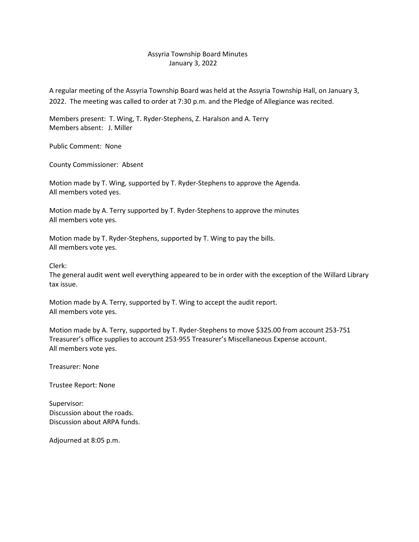## Assyria Township Board Minutes January 3, 2022

A regular meeting of the Assyria Township Board was held at the Assyria Township Hall, on January 3, 2022. The meeting was called to order at 7:30 p.m. and the Pledge of Allegiance was recited.

Members present: T. Wing, T. Ryder-Stephens, Z. Haralson and A. Terry Members absent: J. Miller

Public Comment: None

County Commissioner: Absent

Motion made by T. Wing, supported by T. Ryder-Stephens to approve the Agenda. All members voted yes.

Motion made by A. Terry supported by T. Ryder-Stephens to approve the minutes All members vote yes.

Motion made by T. Ryder-Stephens, supported by T. Wing to pay the bills. All members vote yes.

Clerk:

The general audit went well everything appeared to be in order with the exception of the Willard Library tax issue.

Motion made by A. Terry, supported by T. Wing to accept the audit report. All members vote yes.

Motion made by A. Terry, supported by T. Ryder-Stephens to move \$325.00 from account 253-751 Treasurer's office supplies to account 253-955 Treasurer's Miscellaneous Expense account. All members vote yes.

Treasurer: None

Trustee Report: None

Supervisor: Discussion about the roads. Discussion about ARPA funds.

Adjourned at 8:05 p.m.